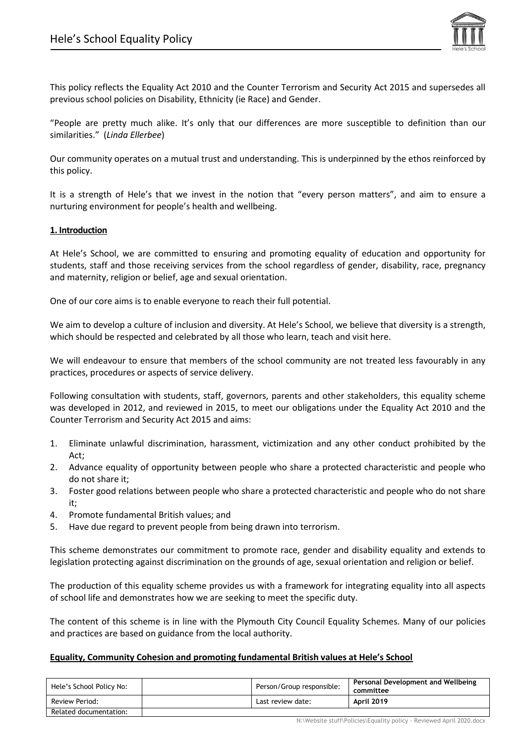

This policy reflects the Equality Act 2010 and the Counter Terrorism and Security Act 2015 and supersedes all previous school policies on Disability, Ethnicity (ie Race) and Gender.

"People are pretty much alike. It's only that our differences are more susceptible to definition than our similarities." (*Linda Ellerbee*)

Our community operates on a mutual trust and understanding. This is underpinned by the ethos reinforced by this policy.

It is a strength of Hele's that we invest in the notion that "every person matters", and aim to ensure a nurturing environment for people's health and wellbeing.

## **1. Introduction**

At Hele's School, we are committed to ensuring and promoting equality of education and opportunity for students, staff and those receiving services from the school regardless of gender, disability, race, pregnancy and maternity, religion or belief, age and sexual orientation.

One of our core aims is to enable everyone to reach their full potential.

We aim to develop a culture of inclusion and diversity. At Hele's School, we believe that diversity is a strength, which should be respected and celebrated by all those who learn, teach and visit here.

We will endeavour to ensure that members of the school community are not treated less favourably in any practices, procedures or aspects of service delivery.

Following consultation with students, staff, governors, parents and other stakeholders, this equality scheme was developed in 2012, and reviewed in 2015, to meet our obligations under the Equality Act 2010 and the Counter Terrorism and Security Act 2015 and aims:

- 1. Eliminate unlawful discrimination, harassment, victimization and any other conduct prohibited by the Act;
- 2. Advance equality of opportunity between people who share a protected characteristic and people who do not share it;
- 3. Foster good relations between people who share a protected characteristic and people who do not share it;
- 4. Promote fundamental British values; and
- 5. Have due regard to prevent people from being drawn into terrorism.

This scheme demonstrates our commitment to promote race, gender and disability equality and extends to legislation protecting against discrimination on the grounds of age, sexual orientation and religion or belief.

The production of this equality scheme provides us with a framework for integrating equality into all aspects of school life and demonstrates how we are seeking to meet the specific duty.

The content of this scheme is in line with the Plymouth City Council Equality Schemes. Many of our policies and practices are based on guidance from the local authority.

### **Equality, Community Cohesion and promoting fundamental British values at Hele's School**

| Hele's School Policy No: | Person/Group responsible: | Personal Development and Wellbeing<br>committee |
|--------------------------|---------------------------|-------------------------------------------------|
| <b>Review Period:</b>    | Last review date:         | April 2019                                      |
| Related documentation:   |                           |                                                 |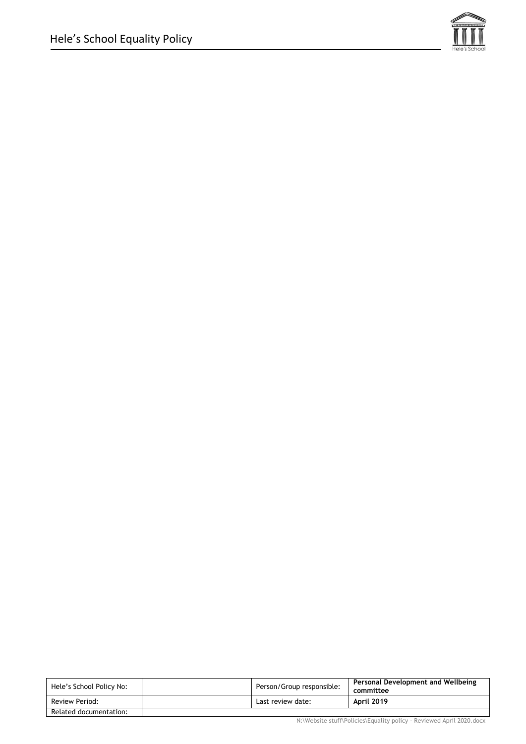

| Hele's School Policy No: | Person/Group responsible: | Personal Development and Wellbeing<br>committee |
|--------------------------|---------------------------|-------------------------------------------------|
| Review Period:           | Last review date:         | April 2019                                      |
| Related documentation:   |                           |                                                 |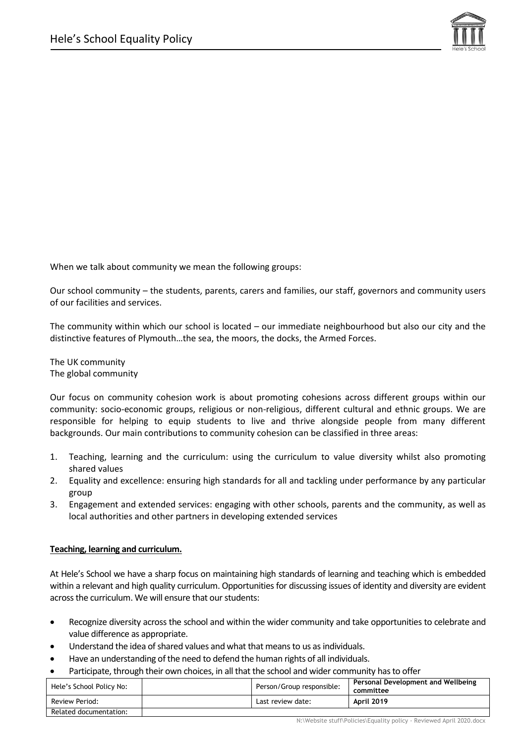

When we talk about community we mean the following groups:

Our school community – the students, parents, carers and families, our staff, governors and community users of our facilities and services.

The community within which our school is located – our immediate neighbourhood but also our city and the distinctive features of Plymouth…the sea, the moors, the docks, the Armed Forces.

The UK community The global community

Our focus on community cohesion work is about promoting cohesions across different groups within our community: socio-economic groups, religious or non-religious, different cultural and ethnic groups. We are responsible for helping to equip students to live and thrive alongside people from many different backgrounds. Our main contributions to community cohesion can be classified in three areas:

- 1. Teaching, learning and the curriculum: using the curriculum to value diversity whilst also promoting shared values
- 2. Equality and excellence: ensuring high standards for all and tackling under performance by any particular group
- 3. Engagement and extended services: engaging with other schools, parents and the community, as well as local authorities and other partners in developing extended services

# **Teaching, learning and curriculum.**

At Hele's School we have a sharp focus on maintaining high standards of learning and teaching which is embedded within a relevant and high quality curriculum. Opportunities for discussing issues of identity and diversity are evident across the curriculum. We will ensure that our students:

- Recognize diversity across the school and within the wider community and take opportunities to celebrate and value difference as appropriate.
- Understand the idea of shared values and what that means to us as individuals.
- Have an understanding of the need to defend the human rights of all individuals.
- Participate, through their own choices, in all that the school and wider community has to offer

| Hele's School Policy No: | Person/Group responsible: | Personal Development and Wellbeing<br>committee |
|--------------------------|---------------------------|-------------------------------------------------|
| Review Period:           | Last review date:         | April 2019                                      |
| Related documentation:   |                           |                                                 |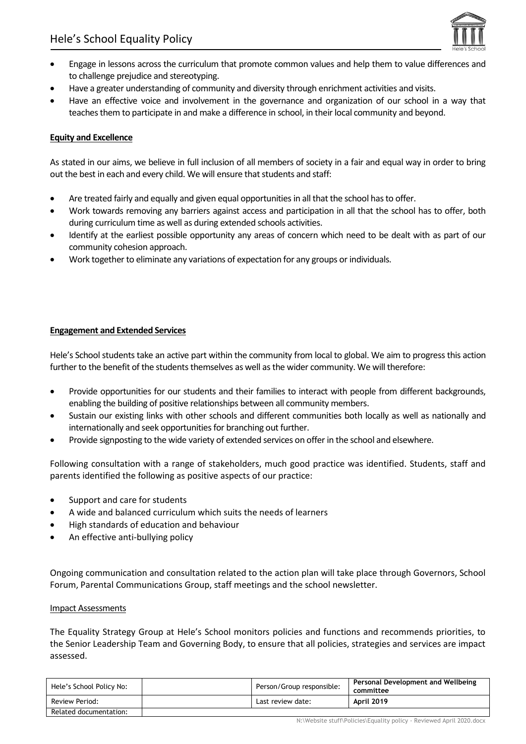

- Engage in lessons across the curriculum that promote common values and help them to value differences and to challenge prejudice and stereotyping.
- Have a greater understanding of community and diversity through enrichment activities and visits.
- Have an effective voice and involvement in the governance and organization of our school in a way that teaches them to participate in and make a difference in school, in their local community and beyond.

# **Equity and Excellence**

As stated in our aims, we believe in full inclusion of all members of society in a fair and equal way in order to bring out the best in each and every child. We will ensure that students and staff:

- Are treated fairly and equally and given equal opportunities in all that the school has to offer.
- Work towards removing any barriers against access and participation in all that the school has to offer, both during curriculum time as well as during extended schools activities.
- Identify at the earliest possible opportunity any areas of concern which need to be dealt with as part of our community cohesion approach.
- Work together to eliminate any variations of expectation for any groups or individuals.

## **Engagement and Extended Services**

Hele's School students take an active part within the community from local to global. We aim to progress this action further to the benefit of the students themselves as well as the wider community. We will therefore:

- Provide opportunities for our students and their families to interact with people from different backgrounds, enabling the building of positive relationships between all community members.
- Sustain our existing links with other schools and different communities both locally as well as nationally and internationally and seek opportunities for branching out further.
- Provide signposting to the wide variety of extended services on offer in the school and elsewhere.

Following consultation with a range of stakeholders, much good practice was identified. Students, staff and parents identified the following as positive aspects of our practice:

- Support and care for students
- A wide and balanced curriculum which suits the needs of learners
- High standards of education and behaviour
- An effective anti-bullying policy

Ongoing communication and consultation related to the action plan will take place through Governors, School Forum, Parental Communications Group, staff meetings and the school newsletter.

### Impact Assessments

The Equality Strategy Group at Hele's School monitors policies and functions and recommends priorities, to the Senior Leadership Team and Governing Body, to ensure that all policies, strategies and services are impact assessed.

| Hele's School Policy No: | Person/Group responsible: | <b>Personal Development and Wellbeing</b><br>committee |
|--------------------------|---------------------------|--------------------------------------------------------|
| Review Period:           | Last review date:         | April 2019                                             |
| Related documentation:   |                           |                                                        |